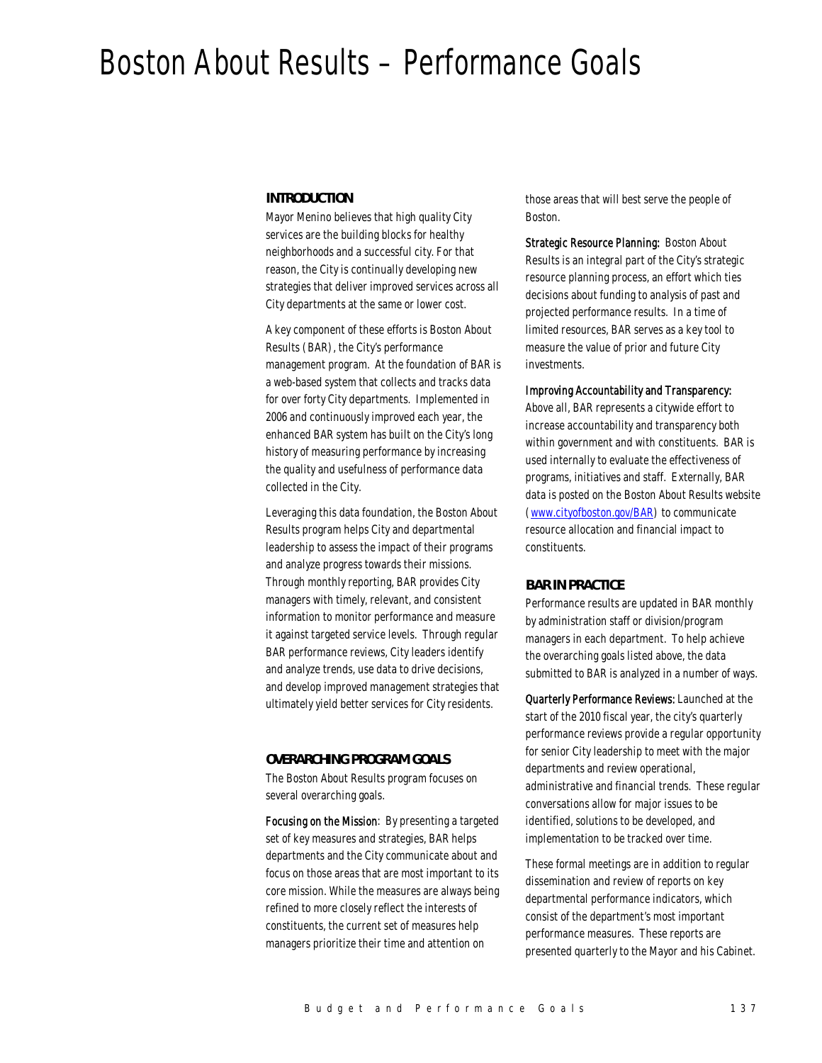# Boston About Results – Performance Goals

## *INTRODUCTION*

Mayor Menino believes that high quality City services are the building blocks for healthy neighborhoods and a successful city. For that reason, the City is continually developing new strategies that deliver improved services across all City departments at the same or lower cost.

A key component of these efforts is Boston About Results (BAR), the City's performance management program. At the foundation of BAR is a web-based system that collects and tracks data for over forty City departments. Implemented in 2006 and continuously improved each year, the enhanced BAR system has built on the City's long history of measuring performance by increasing the quality and usefulness of performance data collected in the City.

Leveraging this data foundation, the Boston About Results program helps City and departmental leadership to assess the impact of their programs and analyze progress towards their missions. Through monthly reporting, BAR provides City managers with timely, relevant, and consistent information to monitor performance and measure it against targeted service levels. Through regular BAR performance reviews, City leaders identify and analyze trends, use data to drive decisions, and develop improved management strategies that ultimately yield better services for City residents.

### *OVERARCHING PROGRAM GOALS*

The Boston About Results program focuses on several overarching goals.

Focusing on the Mission: By presenting a targeted set of key measures and strategies, BAR helps departments and the City communicate about and focus on those areas that are most important to its core mission. While the measures are always being refined to more closely reflect the interests of constituents, the current set of measures help managers prioritize their time and attention on

those areas that will best serve the people of Boston.

Strategic Resource Planning: Boston About Results is an integral part of the City's strategic resource planning process, an effort which ties decisions about funding to analysis of past and projected performance results. In a time of limited resources, BAR serves as a key tool to measure the value of prior and future City investments.

### Improving Accountability and Transparency:

Above all, BAR represents a citywide effort to increase accountability and transparency both within government and with constituents. BAR is used internally to evaluate the effectiveness of programs, initiatives and staff. Externally, BAR data is posted on the Boston About Results website (www.cityofboston.gov/BAR) to communicate resource allocation and financial impact to constituents.

#### *BAR IN PRACTICE*

Performance results are updated in BAR monthly by administration staff or division/program managers in each department. To help achieve the overarching goals listed above, the data submitted to BAR is analyzed in a number of ways.

Quarterly Performance Reviews: Launched at the start of the 2010 fiscal year, the city's quarterly performance reviews provide a regular opportunity for senior City leadership to meet with the major departments and review operational, administrative and financial trends. These regular conversations allow for major issues to be identified, solutions to be developed, and implementation to be tracked over time.

These formal meetings are in addition to regular dissemination and review of reports on key departmental performance indicators, which consist of the department's most important performance measures. These reports are presented quarterly to the Mayor and his Cabinet.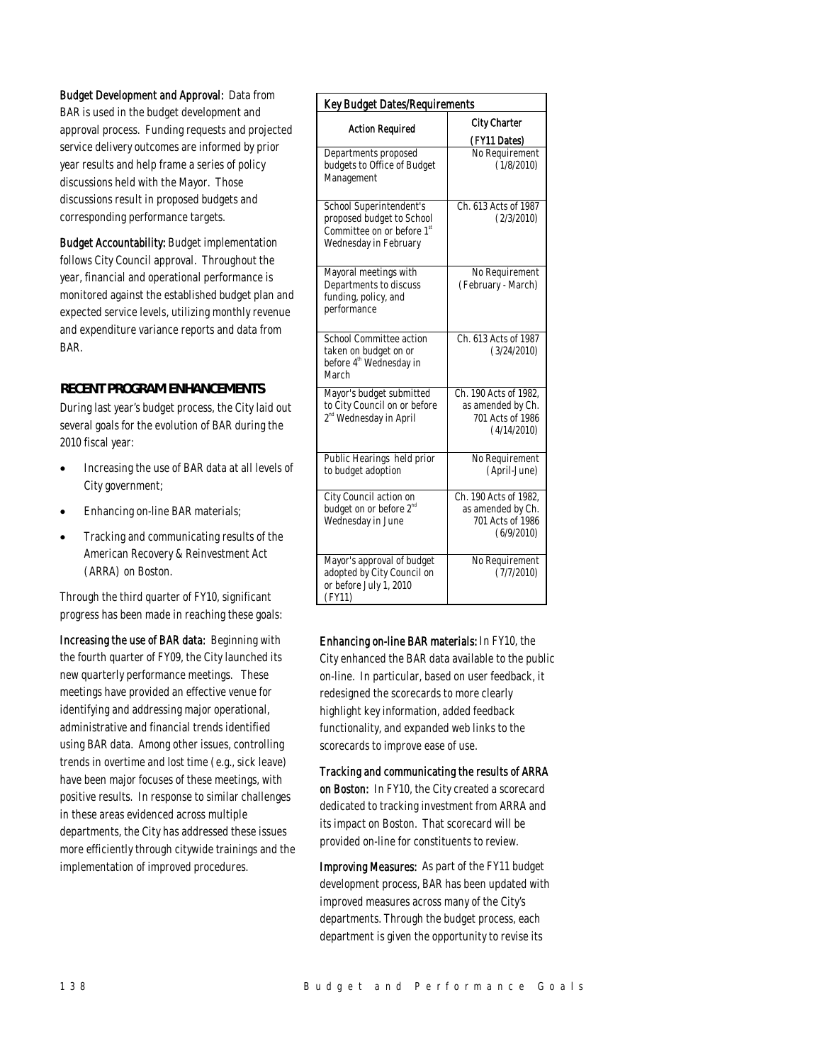Budget Development and Approval: Data from BAR is used in the budget development and approval process. Funding requests and projected service delivery outcomes are informed by prior year results and help frame a series of policy discussions held with the Mayor. Those discussions result in proposed budgets and corresponding performance targets.

Budget Accountability: Budget implementation follows City Council approval. Throughout the year, financial and operational performance is monitored against the established budget plan and expected service levels, utilizing monthly revenue and expenditure variance reports and data from BAR.

# *RECENT PROGRAM ENHANCEMENTS*

During last year's budget process, the City laid out several goals for the evolution of BAR during the 2010 fiscal year:

- Increasing the use of BAR data at all levels of City government;
- Enhancing on-line BAR materials;
- Tracking and communicating results of the American Recovery & Reinvestment Act (ARRA) on Boston.

Through the third quarter of FY10, significant progress has been made in reaching these goals:

Increasing the use of BAR data: Beginning with the fourth quarter of FY09, the City launched its new quarterly performance meetings. These meetings have provided an effective venue for identifying and addressing major operational, administrative and financial trends identified using BAR data. Among other issues, controlling trends in overtime and lost time (e.g., sick leave) have been major focuses of these meetings, with positive results. In response to similar challenges in these areas evidenced across multiple departments, the City has addressed these issues more efficiently through citywide trainings and the implementation of improved procedures.

| <b>Key Budget Dates/Requirements</b>                                                                                    |                                                                               |  |
|-------------------------------------------------------------------------------------------------------------------------|-------------------------------------------------------------------------------|--|
| <b>Action Required</b>                                                                                                  | <b>City Charter</b><br>(FY11 Dates)                                           |  |
| Departments proposed<br>budgets to Office of Budget<br>Management                                                       | No Requirement<br>(1/8/2010)                                                  |  |
| School Superintendent's<br>proposed budget to School<br>Committee on or before 1 <sup>st</sup><br>Wednesday in February | Ch. 613 Acts of 1987<br>(2/3/2010)                                            |  |
| Mayoral meetings with<br>Departments to discuss<br>funding, policy, and<br>performance                                  | No Requirement<br>(February - March)                                          |  |
| School Committee action<br>taken on budget on or<br>before 4 <sup>th</sup> Wednesday in<br>March                        | Ch. 613 Acts of 1987<br>(3/24/2010)                                           |  |
| Mayor's budget submitted<br>to City Council on or before<br>2 <sup>nd</sup> Wednesday in April                          | Ch. 190 Acts of 1982,<br>as amended by Ch.<br>701 Acts of 1986<br>(4/14/2010) |  |
| Public Hearings held prior<br>to budget adoption                                                                        | No Requirement<br>(April-June)                                                |  |
| City Council action on<br>budget on or before 2 <sup>nd</sup><br>Wednesday in June                                      | Ch. 190 Acts of 1982,<br>as amended by Ch.<br>701 Acts of 1986<br>(6/9/2010)  |  |
| Mayor's approval of budget<br>adopted by City Council on<br>or before July 1, 2010<br>(FY11)                            | No Requirement<br>(7/7/2010)                                                  |  |

Enhancing on-line BAR materials: In FY10, the City enhanced the BAR data available to the public on-line. In particular, based on user feedback, it redesigned the scorecards to more clearly highlight key information, added feedback functionality, and expanded web links to the scorecards to improve ease of use.

Tracking and communicating the results of ARRA on Boston: In FY10, the City created a scorecard dedicated to tracking investment from ARRA and its impact on Boston. That scorecard will be provided on-line for constituents to review.

Improving Measures: As part of the FY11 budget development process, BAR has been updated with improved measures across many of the City's departments. Through the budget process, each department is given the opportunity to revise its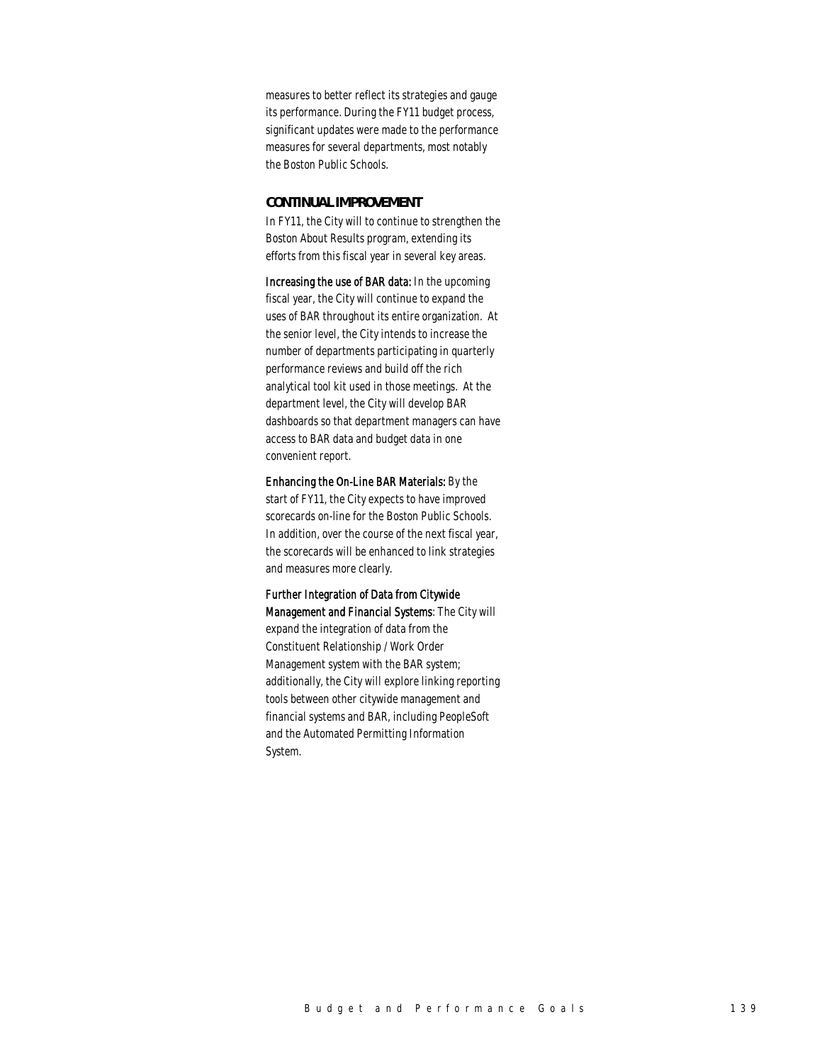measures to better reflect its strategies and gauge its performance. During the FY11 budget process, significant updates were made to the performance measures for several departments, most notably the Boston Public Schools.

#### *CONTINUAL IMPROVEMENT*

In FY11, the City will to continue to strengthen the Boston About Results program, extending its efforts from this fiscal year in several key areas.

Increasing the use of BAR data: In the upcoming fiscal year, the City will continue to expand the uses of BAR throughout its entire organization. At the senior level, the City intends to increase the number of departments participating in quarterly performance reviews and build off the rich analytical tool kit used in those meetings. At the department level, the City will develop BAR dashboards so that department managers can have access to BAR data and budget data in one convenient report.

Enhancing the On-Line BAR Materials: By the start of FY11, the City expects to have improved scorecards on-line for the Boston Public Schools. In addition, over the course of the next fiscal year, the scorecards will be enhanced to link strategies and measures more clearly.

Further Integration of Data from Citywide Management and Financial Systems: The City will expand the integration of data from the Constituent Relationship / Work Order Management system with the BAR system; additionally, the City will explore linking reporting tools between other citywide management and financial systems and BAR, including PeopleSoft and the Automated Permitting Information System.